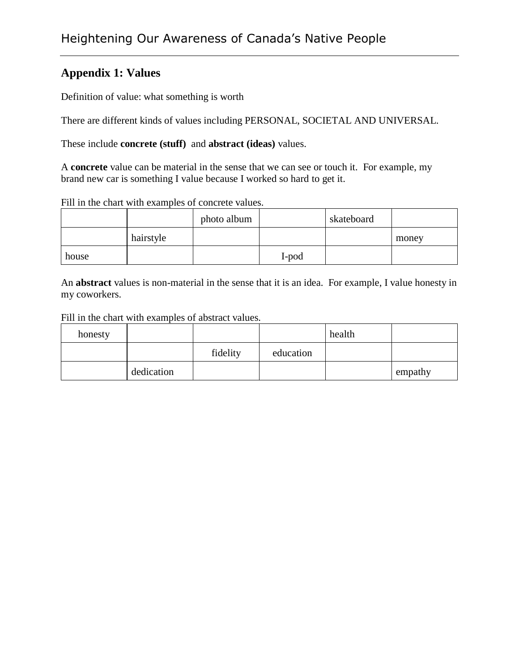#### **Appendix 1: Values**

Definition of value: what something is worth

There are different kinds of values including PERSONAL, SOCIETAL AND UNIVERSAL.

These include **concrete (stuff)** and **abstract (ideas)** values.

A **concrete** value can be material in the sense that we can see or touch it. For example, my brand new car is something I value because I worked so hard to get it.

|  | Fill in the chart with examples of concrete values. |  |
|--|-----------------------------------------------------|--|
|--|-----------------------------------------------------|--|

|       |           | photo album |       | skateboard |       |
|-------|-----------|-------------|-------|------------|-------|
|       | hairstyle |             |       |            | money |
| house |           |             | I-pod |            |       |

An **abstract** values is non-material in the sense that it is an idea. For example, I value honesty in my coworkers.

#### Fill in the chart with examples of abstract values.

| honesty |            |          |           | health |         |
|---------|------------|----------|-----------|--------|---------|
|         |            | fidelity | education |        |         |
|         | dedication |          |           |        | empathy |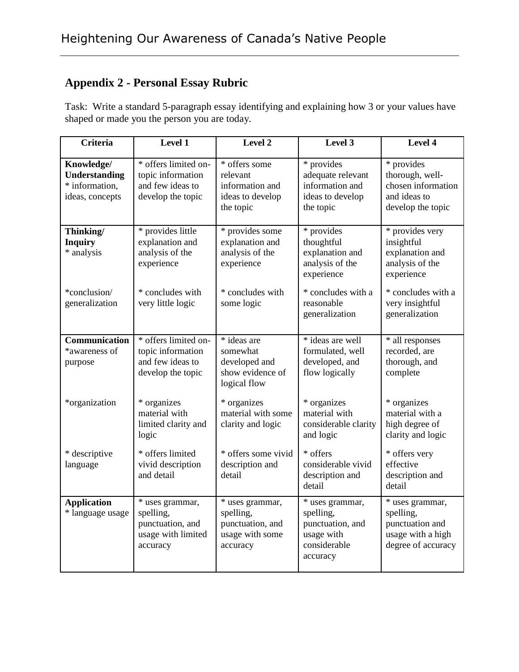## **Appendix 2 - Personal Essay Rubric**

Task: Write a standard 5-paragraph essay identifying and explaining how 3 or your values have shaped or made you the person you are today.

| Criteria                                                                | Level 1                                                                            | Level 2                                                                         | Level 3                                                                                    | Level 4                                                                                    |
|-------------------------------------------------------------------------|------------------------------------------------------------------------------------|---------------------------------------------------------------------------------|--------------------------------------------------------------------------------------------|--------------------------------------------------------------------------------------------|
| Knowledge/<br><b>Understanding</b><br>* information,<br>ideas, concepts | * offers limited on-<br>topic information<br>and few ideas to<br>develop the topic | * offers some<br>relevant<br>information and<br>ideas to develop<br>the topic   | * provides<br>adequate relevant<br>information and<br>ideas to develop<br>the topic        | * provides<br>thorough, well-<br>chosen information<br>and ideas to<br>develop the topic   |
| Thinking/<br><b>Inquiry</b><br>* analysis                               | * provides little<br>explanation and<br>analysis of the<br>experience              | * provides some<br>explanation and<br>analysis of the<br>experience             | * provides<br>thoughtful<br>explanation and<br>analysis of the<br>experience               | * provides very<br>insightful<br>explanation and<br>analysis of the<br>experience          |
| *conclusion/<br>generalization                                          | * concludes with<br>very little logic                                              | * concludes with<br>some logic                                                  | * concludes with a<br>reasonable<br>generalization                                         | * concludes with a<br>very insightful<br>generalization                                    |
| Communication<br>*awareness of<br>purpose                               | * offers limited on-<br>topic information<br>and few ideas to<br>develop the topic | * ideas are<br>somewhat<br>developed and<br>show evidence of<br>logical flow    | * ideas are well<br>formulated, well<br>developed, and<br>flow logically                   | * all responses<br>recorded, are<br>thorough, and<br>complete                              |
| *organization                                                           | * organizes<br>material with<br>limited clarity and<br>logic                       | * organizes<br>material with some<br>clarity and logic                          | * organizes<br>material with<br>considerable clarity<br>and logic                          | * organizes<br>material with a<br>high degree of<br>clarity and logic                      |
| * descriptive<br>language                                               | * offers limited<br>vivid description<br>and detail                                | * offers some vivid<br>description and<br>detail                                | * offers<br>considerable vivid<br>description and<br>detail                                | * offers very<br>effective<br>description and<br>detail                                    |
| <b>Application</b><br>* language usage                                  | * uses grammar,<br>spelling,<br>punctuation, and<br>usage with limited<br>accuracy | * uses grammar,<br>spelling,<br>punctuation, and<br>usage with some<br>accuracy | * uses grammar,<br>spelling,<br>punctuation, and<br>usage with<br>considerable<br>accuracy | * uses grammar,<br>spelling,<br>punctuation and<br>usage with a high<br>degree of accuracy |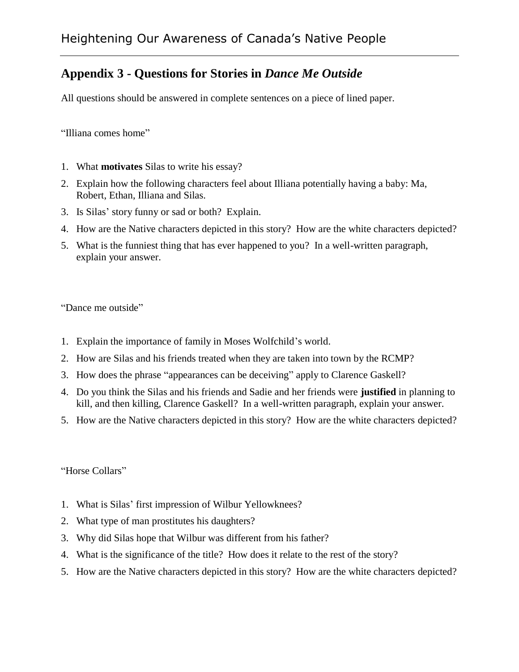### **Appendix 3 - Questions for Stories in** *Dance Me Outside*

All questions should be answered in complete sentences on a piece of lined paper.

"Illiana comes home"

- 1. What **motivates** Silas to write his essay?
- 2. Explain how the following characters feel about Illiana potentially having a baby: Ma, Robert, Ethan, Illiana and Silas.
- 3. Is Silas' story funny or sad or both? Explain.
- 4. How are the Native characters depicted in this story? How are the white characters depicted?
- 5. What is the funniest thing that has ever happened to you? In a well-written paragraph, explain your answer.

"Dance me outside"

- 1. Explain the importance of family in Moses Wolfchild's world.
- 2. How are Silas and his friends treated when they are taken into town by the RCMP?
- 3. How does the phrase "appearances can be deceiving" apply to Clarence Gaskell?
- 4. Do you think the Silas and his friends and Sadie and her friends were **justified** in planning to kill, and then killing, Clarence Gaskell? In a well-written paragraph, explain your answer.
- 5. How are the Native characters depicted in this story? How are the white characters depicted?

"Horse Collars"

- 1. What is Silas' first impression of Wilbur Yellowknees?
- 2. What type of man prostitutes his daughters?
- 3. Why did Silas hope that Wilbur was different from his father?
- 4. What is the significance of the title? How does it relate to the rest of the story?
- 5. How are the Native characters depicted in this story? How are the white characters depicted?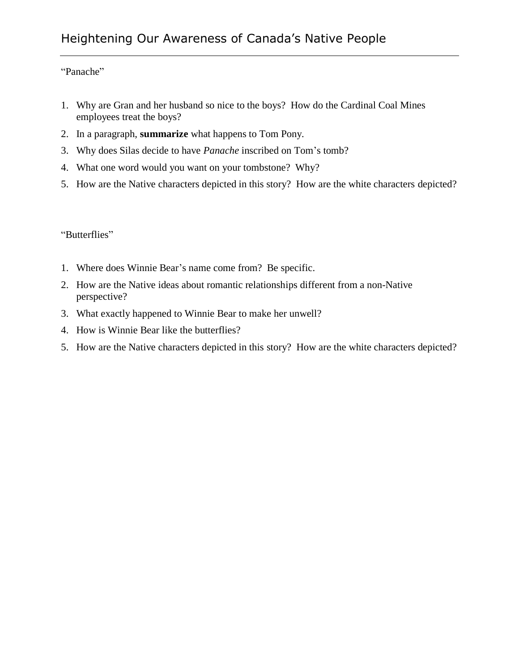"Panache"

- 1. Why are Gran and her husband so nice to the boys? How do the Cardinal Coal Mines employees treat the boys?
- 2. In a paragraph, **summarize** what happens to Tom Pony.
- 3. Why does Silas decide to have *Panache* inscribed on Tom's tomb?
- 4. What one word would you want on your tombstone? Why?
- 5. How are the Native characters depicted in this story? How are the white characters depicted?

"Butterflies"

- 1. Where does Winnie Bear's name come from? Be specific.
- 2. How are the Native ideas about romantic relationships different from a non-Native perspective?
- 3. What exactly happened to Winnie Bear to make her unwell?
- 4. How is Winnie Bear like the butterflies?
- 5. How are the Native characters depicted in this story? How are the white characters depicted?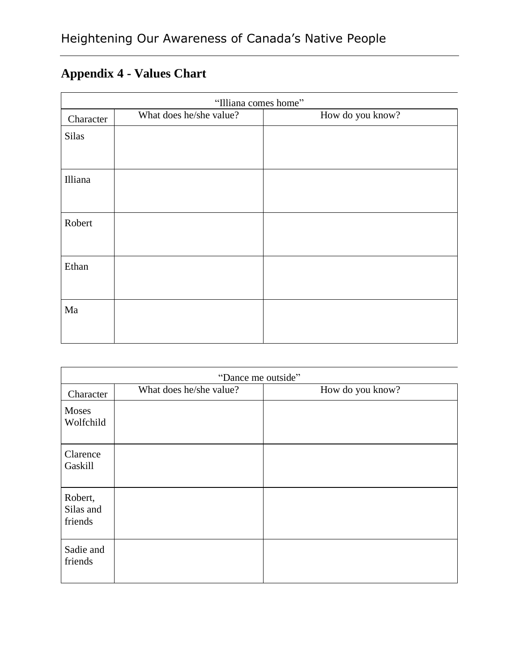# **Appendix 4 - Values Chart**

| "Illiana comes home" |                         |                  |  |  |  |  |
|----------------------|-------------------------|------------------|--|--|--|--|
| Character            | What does he/she value? | How do you know? |  |  |  |  |
| <b>Silas</b>         |                         |                  |  |  |  |  |
|                      |                         |                  |  |  |  |  |
| Illiana              |                         |                  |  |  |  |  |
|                      |                         |                  |  |  |  |  |
| Robert               |                         |                  |  |  |  |  |
|                      |                         |                  |  |  |  |  |
| Ethan                |                         |                  |  |  |  |  |
|                      |                         |                  |  |  |  |  |
| Ma                   |                         |                  |  |  |  |  |
|                      |                         |                  |  |  |  |  |
|                      |                         |                  |  |  |  |  |

| "Dance me outside"              |                         |                  |  |  |  |  |
|---------------------------------|-------------------------|------------------|--|--|--|--|
| Character                       | What does he/she value? | How do you know? |  |  |  |  |
| Moses<br>Wolfchild              |                         |                  |  |  |  |  |
| Clarence<br>Gaskill             |                         |                  |  |  |  |  |
| Robert,<br>Silas and<br>friends |                         |                  |  |  |  |  |
| Sadie and<br>friends            |                         |                  |  |  |  |  |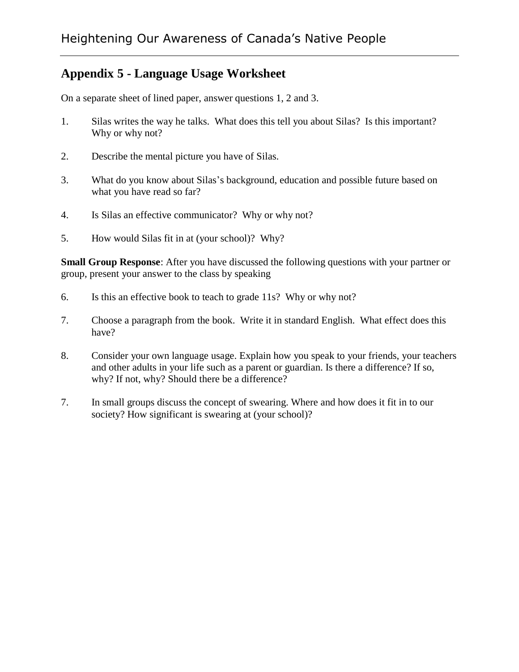### **Appendix 5 - Language Usage Worksheet**

On a separate sheet of lined paper, answer questions 1, 2 and 3.

- 1. Silas writes the way he talks. What does this tell you about Silas? Is this important? Why or why not?
- 2. Describe the mental picture you have of Silas.
- 3. What do you know about Silas's background, education and possible future based on what you have read so far?
- 4. Is Silas an effective communicator? Why or why not?
- 5. How would Silas fit in at (your school)? Why?

**Small Group Response**: After you have discussed the following questions with your partner or group, present your answer to the class by speaking

- 6. Is this an effective book to teach to grade 11s? Why or why not?
- 7. Choose a paragraph from the book. Write it in standard English. What effect does this have?
- 8. Consider your own language usage. Explain how you speak to your friends, your teachers and other adults in your life such as a parent or guardian. Is there a difference? If so, why? If not, why? Should there be a difference?
- 7. In small groups discuss the concept of swearing. Where and how does it fit in to our society? How significant is swearing at (your school)?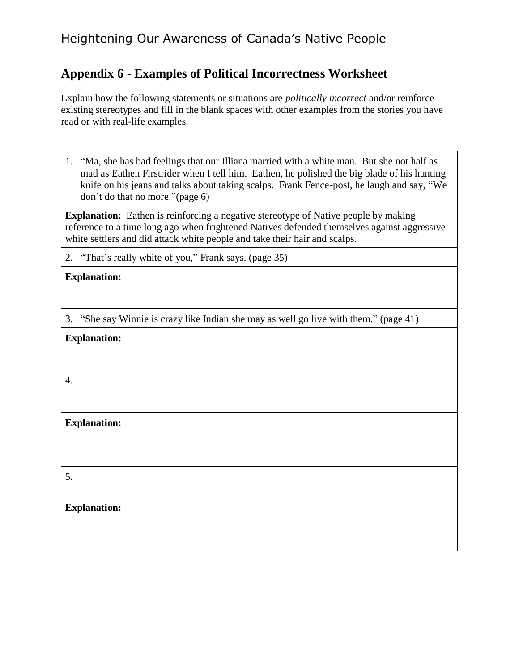### **Appendix 6 - Examples of Political Incorrectness Worksheet**

Explain how the following statements or situations are *politically incorrect* and/or reinforce existing stereotypes and fill in the blank spaces with other examples from the stories you have read or with real-life examples.

1. "Ma, she has bad feelings that our Illiana married with a white man. But she not half as mad as Eathen Firstrider when I tell him. Eathen, he polished the big blade of his hunting knife on his jeans and talks about taking scalps. Frank Fence-post, he laugh and say, "We don't do that no more."(page 6)

**Explanation:** Eathen is reinforcing a negative stereotype of Native people by making reference to a time long ago when frightened Natives defended themselves against aggressive white settlers and did attack white people and take their hair and scalps.

2. "That's really white of you," Frank says. (page 35)

3. "She say Winnie is crazy like Indian she may as well go live with them." (page 41)

|  | <b>Explanation:</b> |
|--|---------------------|
|--|---------------------|

4.

**Explanation:**

5.

**Explanation:**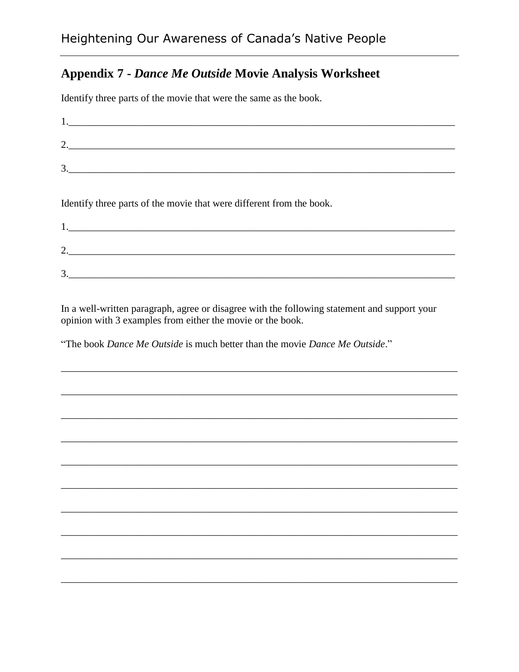### **Appendix 7 - Dance Me Outside Movie Analysis Worksheet**

Identify three parts of the movie that were the same as the book.

| 3.                                                                   |  |
|----------------------------------------------------------------------|--|
|                                                                      |  |
| Identify three parts of the movie that were different from the book. |  |
|                                                                      |  |

| ⌒<br><u>.</u> |  |  |  |
|---------------|--|--|--|
| ⌒<br>≺<br>◡   |  |  |  |

In a well-written paragraph, agree or disagree with the following statement and support your opinion with 3 examples from either the movie or the book.

"The book Dance Me Outside is much better than the movie Dance Me Outside."